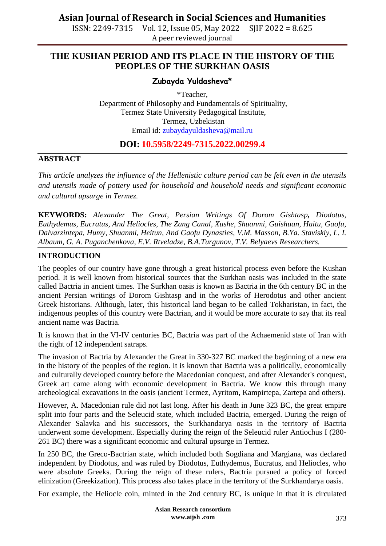ISSN: 2249-7315 Vol. 12, Issue 05, May 2022 SJIF 2022 = 8.625 A peer reviewed journal

### **THE KUSHAN PERIOD AND ITS PLACE IN THE HISTORY OF THE PEOPLES OF THE SURKHAN OASIS**

### **Zubayda Yuldasheva\***

\*Teacher, Department of Philosophy and Fundamentals of Spirituality, Termez State University Pedagogical Institute, Termez, Uzbekistan Email id: [zubaydayuldasheva@mail.ru](mailto:zubaydayuldasheva@mail.ru)

### **DOI: 10.5958/2249-7315.2022.00299.4**

#### **ABSTRACT**

*This article analyzes the influence of the Hellenistic culture period can be felt even in the utensils and utensils made of pottery used for household and household needs and significant economic and cultural upsurge in Termez.*

**KEYWORDS:** *Alexander The Great, Persian Writings Of Dorom Gishtasp, Diodotus, Euthydemus, Eucratus, And Heliocles, The Zang Canal, Xushe, Shuanmi, Guishuan, Haitu, Gaofu, Dalvarzintepa, Humy, Shuanmi, Heitun, And Gaofu Dynasties, V.M. Masson, B.Ya. Staviskiy, L. I. Albaum, G. A. Puganchenkova, E.V. Rtveladze, B.A.Turgunov, T.V. Belyaevs Researchers.*

#### **INTRODUCTION**

The peoples of our country have gone through a great historical process even before the Kushan period. It is well known from historical sources that the Surkhan oasis was included in the state called Bactria in ancient times. The Surkhan oasis is known as Bactria in the 6th century BC in the ancient Persian writings of Dorom Gishtasp and in the works of Herodotus and other ancient Greek historians. Although, later, this historical land began to be called Tokharistan, in fact, the indigenous peoples of this country were Bactrian, and it would be more accurate to say that its real ancient name was Bactria.

It is known that in the VI-IV centuries BC, Bactria was part of the Achaemenid state of Iran with the right of 12 independent satraps.

The invasion of Bactria by Alexander the Great in 330-327 BC marked the beginning of a new era in the history of the peoples of the region. It is known that Bactria was a politically, economically and culturally developed country before the Macedonian conquest, and after Alexander's conquest, Greek art came along with economic development in Bactria. We know this through many archeological excavations in the oasis (ancient Termez, Ayritom, Kampirtepa, Zartepa and others).

However, A. Macedonian rule did not last long. After his death in June 323 BC, the great empire split into four parts and the Seleucid state, which included Bactria, emerged. During the reign of Alexander Salavka and his successors, the Surkhandarya oasis in the territory of Bactria underwent some development. Especially during the reign of the Seleucid ruler Antiochus I (280- 261 BC) there was a significant economic and cultural upsurge in Termez.

In 250 BC, the Greco-Bactrian state, which included both Sogdiana and Margiana, was declared independent by Diodotus, and was ruled by Diodotus, Euthydemus, Eucratus, and Heliocles, who were absolute Greeks. During the reign of these rulers, Bactria pursued a policy of forced elinization (Greekization). This process also takes place in the territory of the Surkhandarya oasis.

For example, the Heliocle coin, minted in the 2nd century BC, is unique in that it is circulated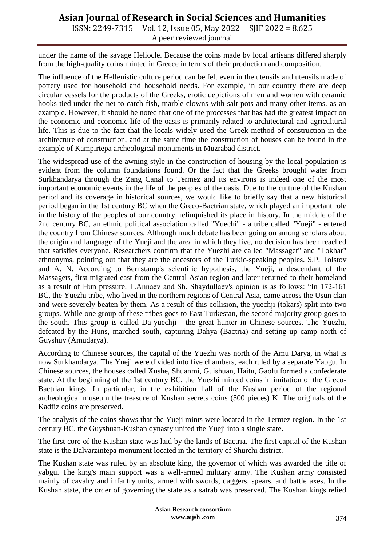# **Asian Journal of Research in Social Sciences and Humanities**

ISSN: 2249-7315 Vol. 12, Issue 05, May 2022 SJIF 2022 = 8.625 A peer reviewed journal

under the name of the savage Heliocle. Because the coins made by local artisans differed sharply from the high-quality coins minted in Greece in terms of their production and composition.

The influence of the Hellenistic culture period can be felt even in the utensils and utensils made of pottery used for household and household needs. For example, in our country there are deep circular vessels for the products of the Greeks, erotic depictions of men and women with ceramic hooks tied under the net to catch fish, marble clowns with salt pots and many other items. as an example. However, it should be noted that one of the processes that has had the greatest impact on the economic and economic life of the oasis is primarily related to architectural and agricultural life. This is due to the fact that the locals widely used the Greek method of construction in the architecture of construction, and at the same time the construction of houses can be found in the example of Kampirtepa archeological monuments in Muzrabad district.

The widespread use of the awning style in the construction of housing by the local population is evident from the column foundations found. Or the fact that the Greeks brought water from Surkhandarya through the Zang Canal to Termez and its environs is indeed one of the most important economic events in the life of the peoples of the oasis. Due to the culture of the Kushan period and its coverage in historical sources, we would like to briefly say that a new historical period began in the 1st century BC when the Greco-Bactrian state, which played an important role in the history of the peoples of our country, relinquished its place in history. In the middle of the 2nd century BC, an ethnic political association called "Yuechi" - a tribe called "Yueji" - entered the country from Chinese sources. Although much debate has been going on among scholars about the origin and language of the Yueji and the area in which they live, no decision has been reached that satisfies everyone. Researchers confirm that the Yuezhi are called "Massaget" and "Tokhar" ethnonyms, pointing out that they are the ancestors of the Turkic-speaking peoples. S.P. Tolstov and A. N. According to Bernstamp's scientific hypothesis, the Yueji, a descendant of the Massagets, first migrated east from the Central Asian region and later returned to their homeland as a result of Hun pressure. T.Annaev and Sh. Shaydullaev's opinion is as follows: "In 172-161 BC, the Yuezhi tribe, who lived in the northern regions of Central Asia, came across the Usun clan and were severely beaten by them. As a result of this collision, the yuechji (tokars) split into two groups. While one group of these tribes goes to East Turkestan, the second majority group goes to the south. This group is called Da-yuechji - the great hunter in Chinese sources. The Yuezhi, defeated by the Huns, marched south, capturing Dahya (Bactria) and setting up camp north of Guyshuy (Amudarya).

According to Chinese sources, the capital of the Yuezhi was north of the Amu Darya, in what is now Surkhandarya. The Yueji were divided into five chambers, each ruled by a separate Yabgu. In Chinese sources, the houses called Xushe, Shuanmi, Guishuan, Haitu, Gaofu formed a confederate state. At the beginning of the 1st century BC, the Yuezhi minted coins in imitation of the Greco-Bactrian kings. In particular, in the exhibition hall of the Kushan period of the regional archeological museum the treasure of Kushan secrets coins (500 pieces) K. The originals of the Kadfiz coins are preserved.

The analysis of the coins shows that the Yueji mints were located in the Termez region. In the 1st century BC, the Guyshuan-Kushan dynasty united the Yueji into a single state.

The first core of the Kushan state was laid by the lands of Bactria. The first capital of the Kushan state is the Dalvarzintepa monument located in the territory of Shurchi district.

The Kushan state was ruled by an absolute king, the governor of which was awarded the title of yabgu. The king's main support was a well-armed military army. The Kushan army consisted mainly of cavalry and infantry units, armed with swords, daggers, spears, and battle axes. In the Kushan state, the order of governing the state as a satrab was preserved. The Kushan kings relied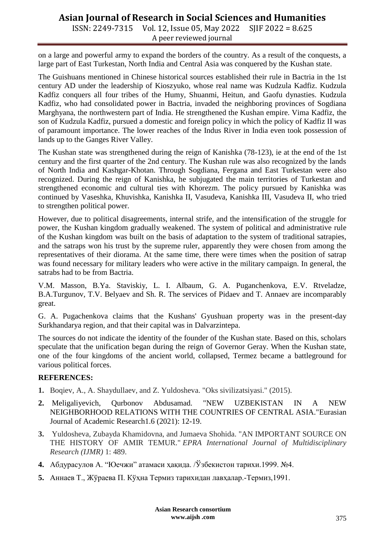## **Asian Journal of Research in Social Sciences and Humanities**

ISSN: 2249-7315 Vol. 12, Issue 05, May 2022 SJIF 2022 = 8.625 A peer reviewed journal

on a large and powerful army to expand the borders of the country. As a result of the conquests, a large part of East Turkestan, North India and Central Asia was conquered by the Kushan state.

The Guishuans mentioned in Chinese historical sources established their rule in Bactria in the 1st century AD under the leadership of Kioszyuko, whose real name was Kudzula Kadfiz. Kudzula Kadfiz conquers all four tribes of the Humy, Shuanmi, Heitun, and Gaofu dynasties. Kudzula Kadfiz, who had consolidated power in Bactria, invaded the neighboring provinces of Sogdiana Marghyana, the northwestern part of India. He strengthened the Kushan empire. Vima Kadfiz, the son of Kudzula Kadfiz, pursued a domestic and foreign policy in which the policy of Kadfiz II was of paramount importance. The lower reaches of the Indus River in India even took possession of lands up to the Ganges River Valley.

The Kushan state was strengthened during the reign of Kanishka (78-123), ie at the end of the 1st century and the first quarter of the 2nd century. The Kushan rule was also recognized by the lands of North India and Kashgar-Khotan. Through Sogdiana, Fergana and East Turkestan were also recognized. During the reign of Kanishka, he subjugated the main territories of Turkestan and strengthened economic and cultural ties with Khorezm. The policy pursued by Kanishka was continued by Vaseshka, Khuvishka, Kanishka II, Vasudeva, Kanishka III, Vasudeva II, who tried to strengthen political power.

However, due to political disagreements, internal strife, and the intensification of the struggle for power, the Kushan kingdom gradually weakened. The system of political and administrative rule of the Kushan kingdom was built on the basis of adaptation to the system of traditional satrapies, and the satraps won his trust by the supreme ruler, apparently they were chosen from among the representatives of their diorama. At the same time, there were times when the position of satrap was found necessary for military leaders who were active in the military campaign. In general, the satrabs had to be from Bactria.

V.M. Masson, B.Ya. Staviskiy, L. I. Albaum, G. A. Puganchenkova, E.V. Rtveladze, B.A.Turgunov, T.V. Belyaev and Sh. R. The services of Pidaev and T. Annaev are incomparably great.

G. A. Pugachenkova claims that the Kushans' Gyushuan property was in the present-day Surkhandarya region, and that their capital was in Dalvarzintepa.

The sources do not indicate the identity of the founder of the Kushan state. Based on this, scholars speculate that the unification began during the reign of Governor Geray. When the Kushan state, one of the four kingdoms of the ancient world, collapsed, Termez became a battleground for various political forces.

#### **REFERENCES:**

- **1.** Boqiev, A., A. Shaydullaev, and Z. Yuldosheva. "Oks sivilizatsiyasi." (2015).
- **2.** Meligaliyevich, Qurbonov Abdusamad. "NEW UZBEKISTAN IN A NEW NEIGHBORHOOD RELATIONS WITH THE COUNTRIES OF CENTRAL ASIA."Eurasian Journal of Academic Research1.6 (2021): 12-19.
- **3.** Yuldosheva, Zubayda Khamidovna, and Jumaeva Shohida. "AN IMPORTANT SOURCE ON THE HISTORY OF AMIR TEMUR." *EPRA International Journal of Multidisciplinary Research (IJMR)* 1: 489.
- **4.** Абдурасулов А. "Юечжи" атамаси ҳақида. /Ўзбекистон тарихи.1999. №4.
- **5.** Аннаев Т., Жўраева П. Кўҳна Термиз тарихидан лавҳалар.-Термиз,1991.